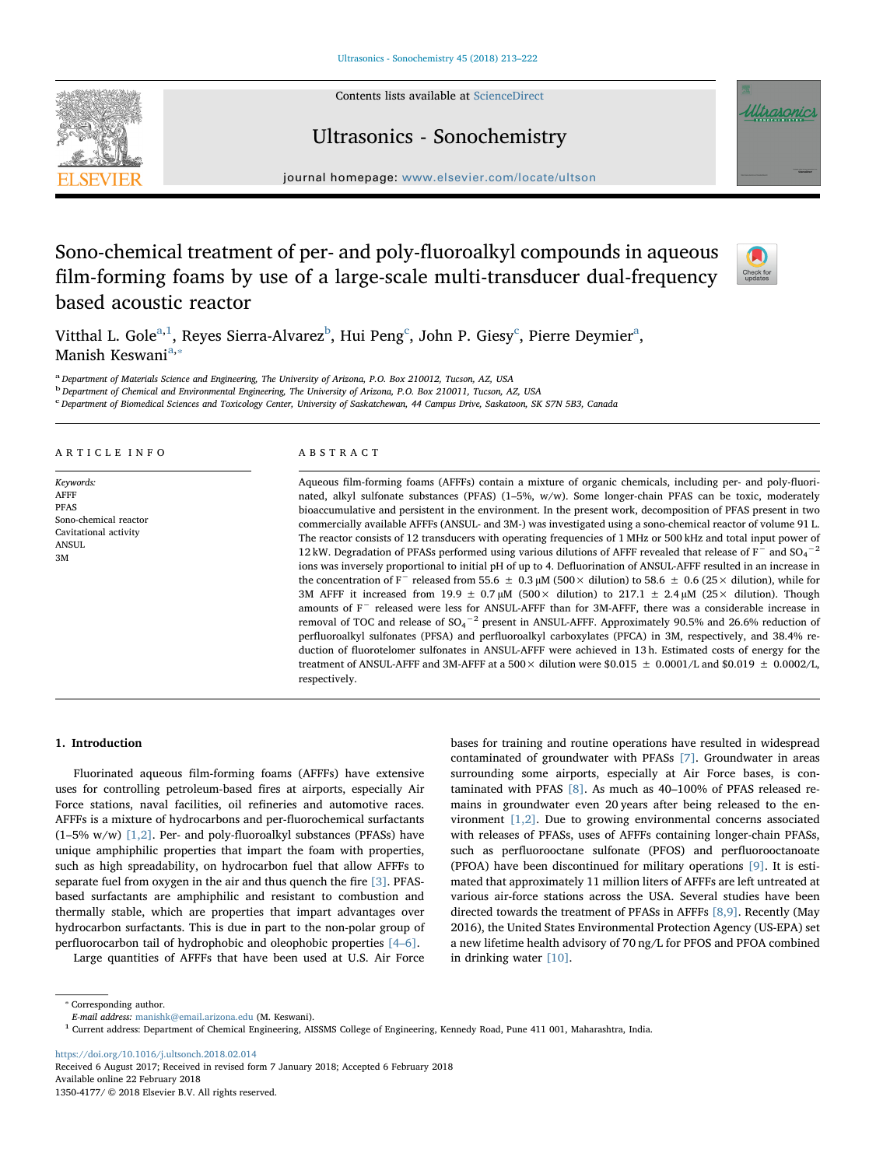Contents lists available at [ScienceDirect](http://www.sciencedirect.com/science/journal/13504177)





# Ultrasonics - Sonochemistry

journal homepage: [www.elsevier.com/locate/ultson](https://www.elsevier.com/locate/ultson)

# Sono-chemical treatment of per- and poly-fluoroalkyl compounds in aqueous film-forming foams by use of a large-scale multi-transducer dual-frequency based acoustic reactor



Vitthal L. Gole<sup>[a,](#page-0-0)[1](#page-0-1)</sup>, Reyes Sierra-Alvarez<sup>[b](#page-0-2)</sup>, Hui Peng<sup>[c](#page-0-3)</sup>, John P. Giesy<sup>c</sup>, Pierre Deymier<sup>[a](#page-0-0)</sup>, M[a](#page-0-0)nish Keswani<sup>a,</sup>

<span id="page-0-0"></span><sup>a</sup> Department of Materials Science and Engineering, The University of Arizona, P.O. Box 210012, Tucson, AZ, USA

<span id="page-0-2"></span><sup>b</sup> Department of Chemical and Environmental Engineering, The University of Arizona, P.O. Box 210011, Tucson, AZ, USA

<span id="page-0-3"></span>c Department of Biomedical Sciences and Toxicology Center, University of Saskatchewan, 44 Campus Drive, Saskatoon, SK S7N 5B3, Canada

## ARTICLE INFO

Keywords: AFFF PFAS Sono-chemical reactor Cavitational activity ANSUL 3M

# ABSTRACT

Aqueous film-forming foams (AFFFs) contain a mixture of organic chemicals, including per- and poly-fluorinated, alkyl sulfonate substances (PFAS) (1–5%, w/w). Some longer-chain PFAS can be toxic, moderately bioaccumulative and persistent in the environment. In the present work, decomposition of PFAS present in two commercially available AFFFs (ANSUL- and 3M-) was investigated using a sono-chemical reactor of volume 91 L. The reactor consists of 12 transducers with operating frequencies of 1 MHz or 500 kHz and total input power of 12 kW. Degradation of PFASs performed using various dilutions of AFFF revealed that release of F<sup>−</sup> and SO<sub>4</sub><sup>-2</sup> ions was inversely proportional to initial pH of up to 4. Defluorination of ANSUL-AFFF resulted in an increase in the concentration of F<sup>−</sup> released from 55.6 ± 0.3 µM (500× dilution) to 58.6 ± 0.6 (25× dilution), while for 3M AFFF it increased from 19.9  $\pm$  0.7 µM (500  $\times$  dilution) to 217.1  $\pm$  2.4 µM (25  $\times$  dilution). Though amounts of F<sup>−</sup> released were less for ANSUL-AFFF than for 3M-AFFF, there was a considerable increase in removal of TOC and release of  $SO_4{}^{-2}$  present in ANSUL-AFFF. Approximately 90.5% and 26.6% reduction of perfluoroalkyl sulfonates (PFSA) and perfluoroalkyl carboxylates (PFCA) in 3M, respectively, and 38.4% reduction of fluorotelomer sulfonates in ANSUL-AFFF were achieved in 13 h. Estimated costs of energy for the treatment of ANSUL-AFFF and 3M-AFFF at a 500  $\times$  dilution were \$0.015  $\pm$  0.0001/L and \$0.019  $\pm$  0.0002/L, respectively.

# 1. Introduction

Fluorinated aqueous film-forming foams (AFFFs) have extensive uses for controlling petroleum-based fires at airports, especially Air Force stations, naval facilities, oil refineries and automotive races. AFFFs is a mixture of hydrocarbons and per-fluorochemical surfactants (1–5% w/w) [\[1,2\].](#page-8-0) Per- and poly-fluoroalkyl substances (PFASs) have unique amphiphilic properties that impart the foam with properties, such as high spreadability, on hydrocarbon fuel that allow AFFFs to separate fuel from oxygen in the air and thus quench the fire [\[3\]](#page-8-1). PFASbased surfactants are amphiphilic and resistant to combustion and thermally stable, which are properties that impart advantages over hydrocarbon surfactants. This is due in part to the non-polar group of perfluorocarbon tail of hydrophobic and oleophobic properties [4–[6\].](#page-8-2)

Large quantities of AFFFs that have been used at U.S. Air Force

bases for training and routine operations have resulted in widespread contaminated of groundwater with PFASs [\[7\]](#page-8-3). Groundwater in areas surrounding some airports, especially at Air Force bases, is contaminated with PFAS [\[8\]](#page-8-4). As much as 40–100% of PFAS released remains in groundwater even 20 years after being released to the environment [\[1,2\].](#page-8-0) Due to growing environmental concerns associated with releases of PFASs, uses of AFFFs containing longer-chain PFASs, such as perfluorooctane sulfonate (PFOS) and perfluorooctanoate (PFOA) have been discontinued for military operations [\[9\]](#page-8-5). It is estimated that approximately 11 million liters of AFFFs are left untreated at various air-force stations across the USA. Several studies have been directed towards the treatment of PFASs in AFFFs [\[8,9\]](#page-8-4). Recently (May 2016), the United States Environmental Protection Agency (US-EPA) set a new lifetime health advisory of 70 ng/L for PFOS and PFOA combined in drinking water [\[10\]](#page-9-0).

<span id="page-0-4"></span>⁎ Corresponding author.

<https://doi.org/10.1016/j.ultsonch.2018.02.014> Received 6 August 2017; Received in revised form 7 January 2018; Accepted 6 February 2018 Available online 22 February 2018

1350-4177/ © 2018 Elsevier B.V. All rights reserved.

E-mail address: [manishk@email.arizona.edu](mailto:manishk@email.arizona.edu) (M. Keswani).

<span id="page-0-1"></span><sup>&</sup>lt;sup>1</sup> Current address: Department of Chemical Engineering, AISSMS College of Engineering, Kennedy Road, Pune 411 001, Maharashtra, India.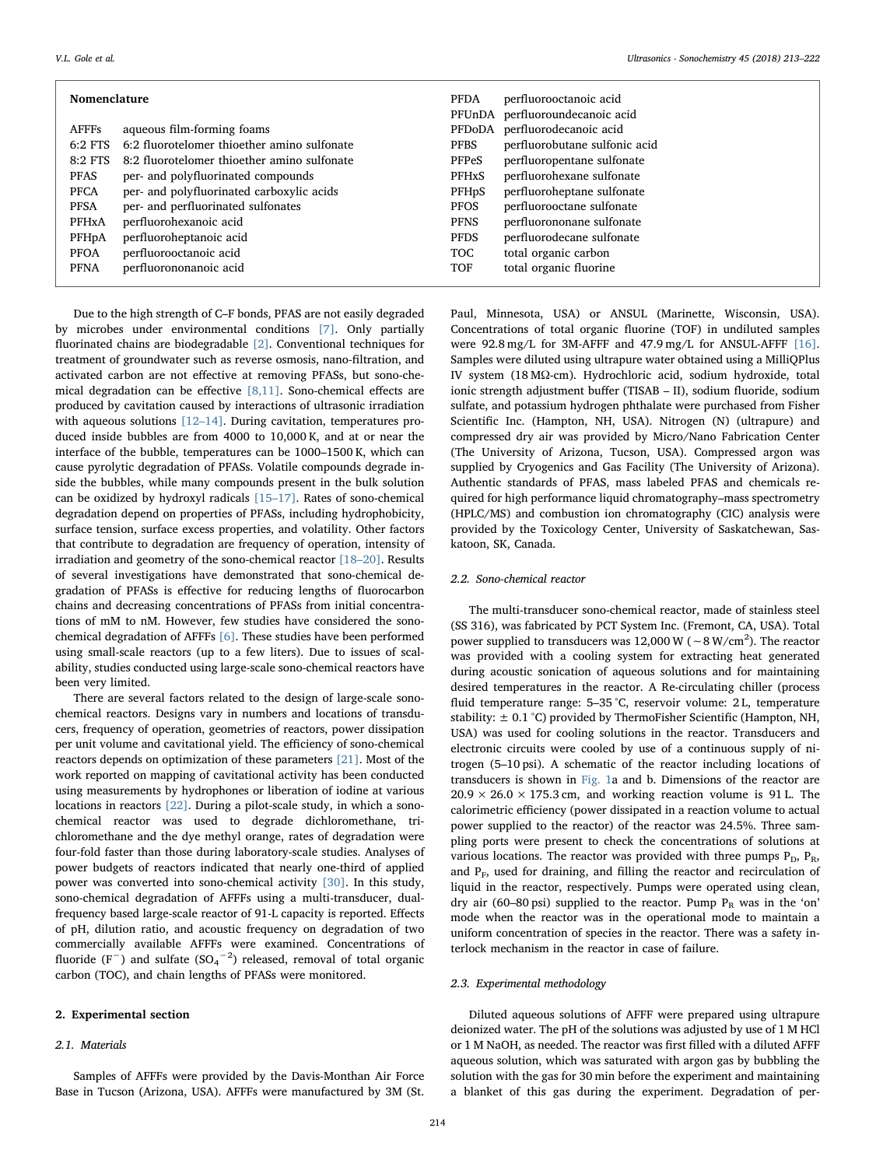| Nomenclature       |                                             |              | perfluorooctanoic acid          |
|--------------------|---------------------------------------------|--------------|---------------------------------|
|                    |                                             |              | PFUnDA perfluoroundecanoic acid |
| <b>AFFFs</b>       | aqueous film-forming foams                  |              | PFDoDA perfluorodecanoic acid   |
| $6:2$ FTS          | 6:2 fluorotelomer thioether amino sulfonate | <b>PFBS</b>  | perfluorobutane sulfonic acid   |
| $8:2$ FTS          | 8:2 fluorotelomer thioether amino sulfonate | <b>PFPeS</b> | perfluoropentane sulfonate      |
| <b>PFAS</b>        | per- and polyfluorinated compounds          | <b>PFHxS</b> | perfluorohexane sulfonate       |
| <b>PFCA</b>        | per- and polyfluorinated carboxylic acids   | <b>PFHpS</b> | perfluoroheptane sulfonate      |
| <b>PFSA</b>        | per- and perfluorinated sulfonates          | <b>PFOS</b>  | perfluorooctane sulfonate       |
| <b>PFHxA</b>       | perfluorohexanoic acid                      | <b>PFNS</b>  | perfluorononane sulfonate       |
| PFH <sub>p</sub> A | perfluoroheptanoic acid                     | <b>PFDS</b>  | perfluorodecane sulfonate       |
| <b>PFOA</b>        | perfluorooctanoic acid                      | <b>TOC</b>   | total organic carbon            |
| <b>PFNA</b>        | perfluorononanoic acid                      | TOF          | total organic fluorine          |
|                    |                                             |              |                                 |

Due to the high strength of C–F bonds, PFAS are not easily degraded by microbes under environmental conditions [\[7\].](#page-8-3) Only partially fluorinated chains are biodegradable [\[2\]](#page-8-6). Conventional techniques for treatment of groundwater such as reverse osmosis, nano-filtration, and activated carbon are not effective at removing PFASs, but sono-chemical degradation can be effective [\[8,11\]](#page-8-4). Sono-chemical effects are produced by cavitation caused by interactions of ultrasonic irradiation with aqueous solutions [12-[14\].](#page-9-1) During cavitation, temperatures produced inside bubbles are from 4000 to 10,000 K, and at or near the interface of the bubble, temperatures can be 1000–1500 K, which can cause pyrolytic degradation of PFASs. Volatile compounds degrade inside the bubbles, while many compounds present in the bulk solution can be oxidized by hydroxyl radicals [\[15](#page-9-2)–17]. Rates of sono-chemical degradation depend on properties of PFASs, including hydrophobicity, surface tension, surface excess properties, and volatility. Other factors that contribute to degradation are frequency of operation, intensity of irradiation and geometry of the sono-chemical reactor [18–[20\]](#page-9-3). Results of several investigations have demonstrated that sono-chemical degradation of PFASs is effective for reducing lengths of fluorocarbon chains and decreasing concentrations of PFASs from initial concentrations of mM to nM. However, few studies have considered the sonochemical degradation of AFFFs [\[6\]](#page-8-7). These studies have been performed using small-scale reactors (up to a few liters). Due to issues of scalability, studies conducted using large-scale sono-chemical reactors have been very limited.

There are several factors related to the design of large-scale sonochemical reactors. Designs vary in numbers and locations of transducers, frequency of operation, geometries of reactors, power dissipation per unit volume and cavitational yield. The efficiency of sono-chemical reactors depends on optimization of these parameters [\[21\]](#page-9-4). Most of the work reported on mapping of cavitational activity has been conducted using measurements by hydrophones or liberation of iodine at various locations in reactors [\[22\].](#page-9-5) During a pilot-scale study, in which a sonochemical reactor was used to degrade dichloromethane, trichloromethane and the dye methyl orange, rates of degradation were four-fold faster than those during laboratory-scale studies. Analyses of power budgets of reactors indicated that nearly one-third of applied power was converted into sono-chemical activity [\[30\].](#page-9-6) In this study, sono-chemical degradation of AFFFs using a multi-transducer, dualfrequency based large-scale reactor of 91-L capacity is reported. Effects of pH, dilution ratio, and acoustic frequency on degradation of two commercially available AFFFs were examined. Concentrations of fluoride (F<sup>-</sup>) and sulfate (SO<sub>4</sub><sup>-2</sup>) released, removal of total organic carbon (TOC), and chain lengths of PFASs were monitored.

### 2. Experimental section

#### 2.1. Materials

Samples of AFFFs were provided by the Davis-Monthan Air Force Base in Tucson (Arizona, USA). AFFFs were manufactured by 3M (St.

Paul, Minnesota, USA) or ANSUL (Marinette, Wisconsin, USA). Concentrations of total organic fluorine (TOF) in undiluted samples were 92.8 mg/L for 3M-AFFF and 47.9 mg/L for ANSUL-AFFF [\[16\]](#page-9-7). Samples were diluted using ultrapure water obtained using a MilliQPlus IV system (18 MΩ-cm). Hydrochloric acid, sodium hydroxide, total ionic strength adjustment buffer (TISAB – II), sodium fluoride, sodium sulfate, and potassium hydrogen phthalate were purchased from Fisher Scientific Inc. (Hampton, NH, USA). Nitrogen (N) (ultrapure) and compressed dry air was provided by Micro/Nano Fabrication Center (The University of Arizona, Tucson, USA). Compressed argon was supplied by Cryogenics and Gas Facility (The University of Arizona). Authentic standards of PFAS, mass labeled PFAS and chemicals required for high performance liquid chromatography–mass spectrometry (HPLC/MS) and combustion ion chromatography (CIC) analysis were provided by the Toxicology Center, University of Saskatchewan, Saskatoon, SK, Canada.

## 2.2. Sono-chemical reactor

The multi-transducer sono-chemical reactor, made of stainless steel (SS 316), was fabricated by PCT System Inc. (Fremont, CA, USA). Total power supplied to transducers was 12,000 W ( $\sim$  8 W/cm<sup>2</sup>). The reactor was provided with a cooling system for extracting heat generated during acoustic sonication of aqueous solutions and for maintaining desired temperatures in the reactor. A Re-circulating chiller (process fluid temperature range: 5–35 °C, reservoir volume: 2 L, temperature stability:  $\pm$  0.1 °C) provided by ThermoFisher Scientific (Hampton, NH, USA) was used for cooling solutions in the reactor. Transducers and electronic circuits were cooled by use of a continuous supply of nitrogen (5–10 psi). A schematic of the reactor including locations of transducers is shown in [Fig. 1](#page-2-0)a and b. Dimensions of the reactor are  $20.9 \times 26.0 \times 175.3$  cm, and working reaction volume is 91 L. The calorimetric efficiency (power dissipated in a reaction volume to actual power supplied to the reactor) of the reactor was 24.5%. Three sampling ports were present to check the concentrations of solutions at various locations. The reactor was provided with three pumps  $P_D$ ,  $P_R$ , and  $P_F$ , used for draining, and filling the reactor and recirculation of liquid in the reactor, respectively. Pumps were operated using clean, dry air (60–80 psi) supplied to the reactor. Pump  $P_R$  was in the 'on' mode when the reactor was in the operational mode to maintain a uniform concentration of species in the reactor. There was a safety interlock mechanism in the reactor in case of failure.

# 2.3. Experimental methodology

Diluted aqueous solutions of AFFF were prepared using ultrapure deionized water. The pH of the solutions was adjusted by use of 1 M HCl or 1 M NaOH, as needed. The reactor was first filled with a diluted AFFF aqueous solution, which was saturated with argon gas by bubbling the solution with the gas for 30 min before the experiment and maintaining a blanket of this gas during the experiment. Degradation of per-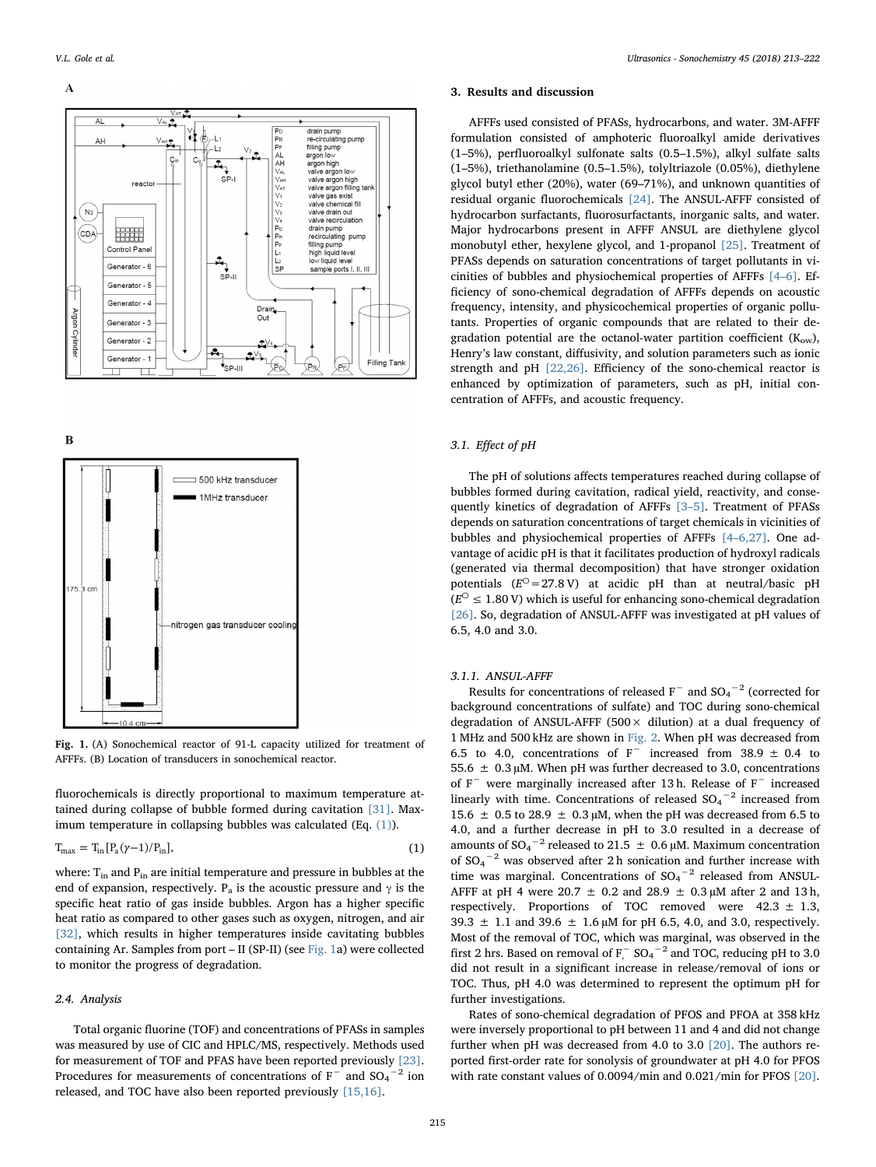## <span id="page-2-0"></span> $\overline{A}$



 $\bf{B}$ 



Fig. 1. (A) Sonochemical reactor of 91-L capacity utilized for treatment of AFFFs. (B) Location of transducers in sonochemical reactor.

<span id="page-2-1"></span>fluorochemicals is directly proportional to maximum temperature attained during collapse of bubble formed during cavitation [\[31\].](#page-9-8) Maximum temperature in collapsing bubbles was calculated (Eq. [\(1\)](#page-2-1)).

$$
T_{\text{max}} = T_{\text{in}} [P_a(\gamma - 1)/P_{\text{in}}], \qquad (1)
$$

where:  $T_{in}$  and  $P_{in}$  are initial temperature and pressure in bubbles at the end of expansion, respectively. P<sub>a</sub> is the acoustic pressure and  $\gamma$  is the specific heat ratio of gas inside bubbles. Argon has a higher specific heat ratio as compared to other gases such as oxygen, nitrogen, and air [\[32\]](#page-9-9), which results in higher temperatures inside cavitating bubbles containing Ar. Samples from port – II (SP-II) (see [Fig. 1](#page-2-0)a) were collected to monitor the progress of degradation.

# 2.4. Analysis

Total organic fluorine (TOF) and concentrations of PFASs in samples was measured by use of CIC and HPLC/MS, respectively. Methods used for measurement of TOF and PFAS have been reported previously [\[23\]](#page-9-10). Procedures for measurements of concentrations of  $F^-$  and  $SO_4^{\, -2}$  ion released, and TOC have also been reported previously [\[15,16\].](#page-9-2)

### 3. Results and discussion

AFFFs used consisted of PFASs, hydrocarbons, and water. 3M-AFFF formulation consisted of amphoteric fluoroalkyl amide derivatives (1–5%), perfluoroalkyl sulfonate salts (0.5–1.5%), alkyl sulfate salts (1–5%), triethanolamine (0.5–1.5%), tolyltriazole (0.05%), diethylene glycol butyl ether (20%), water (69–71%), and unknown quantities of residual organic fluorochemicals [\[24\].](#page-9-11) The ANSUL-AFFF consisted of hydrocarbon surfactants, fluorosurfactants, inorganic salts, and water. Major hydrocarbons present in AFFF ANSUL are diethylene glycol monobutyl ether, hexylene glycol, and 1-propanol [\[25\].](#page-9-12) Treatment of PFASs depends on saturation concentrations of target pollutants in vicinities of bubbles and physiochemical properties of AFFFs [\[4](#page-8-2)–6]. Efficiency of sono-chemical degradation of AFFFs depends on acoustic frequency, intensity, and physicochemical properties of organic pollutants. Properties of organic compounds that are related to their degradation potential are the octanol-water partition coefficient  $(K_{ow})$ , Henry's law constant, diffusivity, and solution parameters such as ionic strength and pH [\[22,26\].](#page-9-5) Efficiency of the sono-chemical reactor is enhanced by optimization of parameters, such as pH, initial concentration of AFFFs, and acoustic frequency.

# 3.1. Effect of pH

The pH of solutions affects temperatures reached during collapse of bubbles formed during cavitation, radical yield, reactivity, and consequently kinetics of degradation of AFFFs [3–[5\].](#page-8-1) Treatment of PFASs depends on saturation concentrations of target chemicals in vicinities of bubbles and physiochemical properties of AFFFs [4–[6,27\].](#page-8-2) One advantage of acidic pH is that it facilitates production of hydroxyl radicals (generated via thermal decomposition) that have stronger oxidation potentials  $(E^{\circ} = 27.8 \text{ V})$  at acidic pH than at neutral/basic pH  $(E^{\circ} \leq 1.80 \text{ V})$  which is useful for enhancing sono-chemical degradation [\[26\]](#page-9-13). So, degradation of ANSUL-AFFF was investigated at pH values of 6.5, 4.0 and 3.0.

# 3.1.1. ANSUL-AFFF

Results for concentrations of released  $F^-$  and  $SO_4^{-2}$  (corrected for background concentrations of sulfate) and TOC during sono-chemical degradation of ANSUL-AFFF (500 $\times$  dilution) at a dual frequency of 1 MHz and 500 kHz are shown in [Fig. 2](#page-3-0). When pH was decreased from 6.5 to 4.0, concentrations of  $F^-$  increased from 38.9 ± 0.4 to 55.6  $\pm$  0.3 µM. When pH was further decreased to 3.0, concentrations of F<sup>−</sup> were marginally increased after 13 h. Release of F<sup>−</sup> increased linearly with time. Concentrations of released  $SO_4^{\, -\, 2}$  increased from 15.6  $\pm$  0.5 to 28.9  $\pm$  0.3 µM, when the pH was decreased from 6.5 to 4.0, and a further decrease in pH to 3.0 resulted in a decrease of amounts of SO<sub>4</sub><sup>-2</sup> released to 21.5  $\pm$  0.6 µM. Maximum concentration of  $SO_4$ <sup>-2</sup> was observed after 2 h sonication and further increase with time was marginal. Concentrations of  $SO_4^{-2}$  released from ANSUL-AFFF at pH 4 were 20.7  $\pm$  0.2 and 28.9  $\pm$  0.3 µM after 2 and 13 h, respectively. Proportions of TOC removed were  $42.3 \pm 1.3$ , 39.3  $\pm$  1.1 and 39.6  $\pm$  1.6  $\mu$ M for pH 6.5, 4.0, and 3.0, respectively. Most of the removal of TOC, which was marginal, was observed in the first 2 hrs. Based on removal of  $F_{1}^{-}$  SO<sub>4</sub><sup>-2</sup> and TOC, reducing pH to 3.0 did not result in a significant increase in release/removal of ions or TOC. Thus, pH 4.0 was determined to represent the optimum pH for further investigations.

Rates of sono-chemical degradation of PFOS and PFOA at 358 kHz were inversely proportional to pH between 11 and 4 and did not change further when pH was decreased from 4.0 to 3.0 [\[20\]](#page-9-14). The authors reported first-order rate for sonolysis of groundwater at pH 4.0 for PFOS with rate constant values of 0.0094/min and 0.021/min for PFOS [\[20\]](#page-9-14).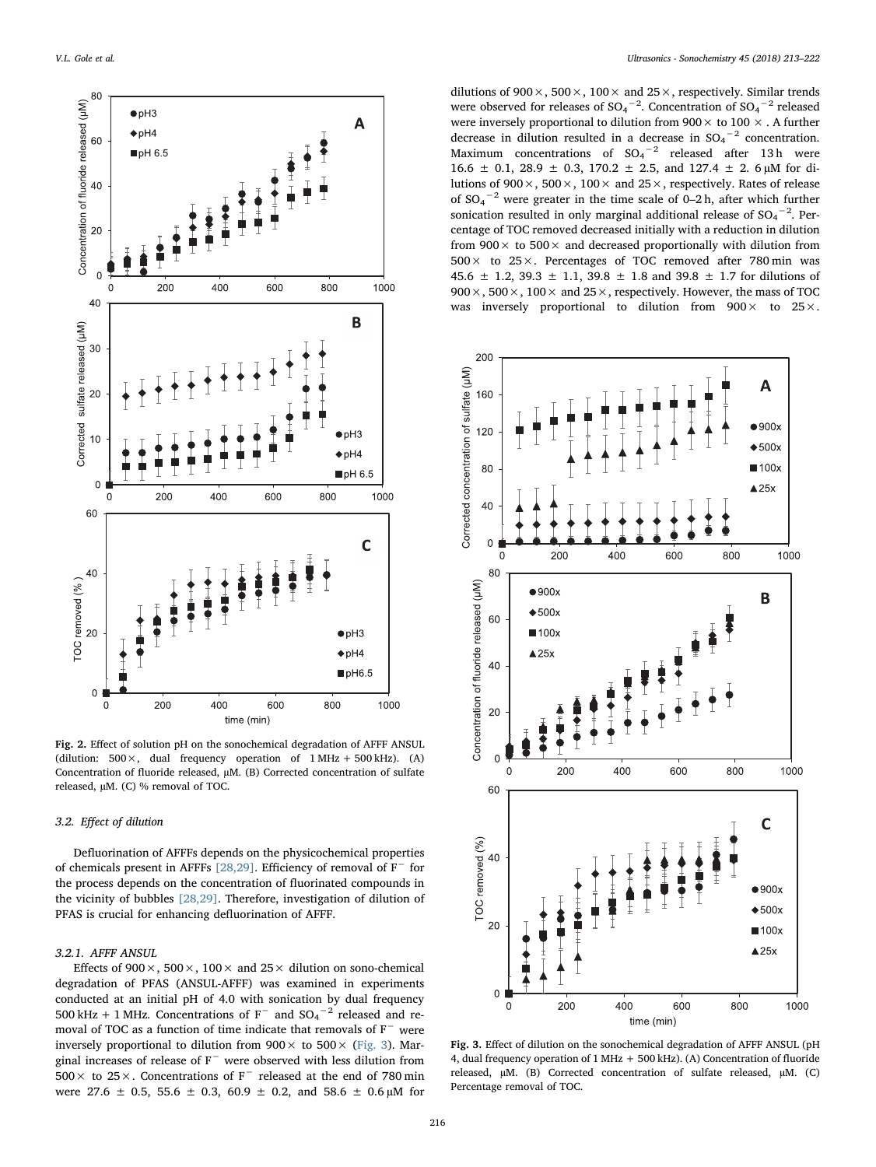<span id="page-3-0"></span>

Fig. 2. Effect of solution pH on the sonochemical degradation of AFFF ANSUL (dilution:  $500 \times$ , dual frequency operation of  $1 \text{ MHz} + 500 \text{ kHz}$ ). (A) Concentration of fluoride released, µM. (B) Corrected concentration of sulfate released, µM. (C) % removal of TOC.

## 3.2. Effect of dilution

Defluorination of AFFFs depends on the physicochemical properties of chemicals present in AFFFs [\[28,29\]](#page-9-15). Efficiency of removal of F<sup>−</sup> for the process depends on the concentration of fluorinated compounds in the vicinity of bubbles [\[28,29\]](#page-9-15). Therefore, investigation of dilution of PFAS is crucial for enhancing defluorination of AFFF.

# 3.2.1. AFFF ANSUL

Effects of 900 $\times$ , 500 $\times$ , 100 $\times$  and 25 $\times$  dilution on sono-chemical degradation of PFAS (ANSUL-AFFF) was examined in experiments conducted at an initial pH of 4.0 with sonication by dual frequency 500 kHz + 1 MHz. Concentrations of  $F^-$  and  $SO_4^{-2}$  released and removal of TOC as a function of time indicate that removals of F<sup>−</sup> were inversely proportional to dilution from  $900 \times$  to  $500 \times$  ([Fig. 3\)](#page-3-1). Marginal increases of release of F<sup>−</sup> were observed with less dilution from 500× to 25×. Concentrations of F<sup>−</sup> released at the end of 780 min were 27.6  $\pm$  0.5, 55.6  $\pm$  0.3, 60.9  $\pm$  0.2, and 58.6  $\pm$  0.6 µM for

dilutions of 900 $\times$ , 500 $\times$ , 100 $\times$  and 25 $\times$ , respectively. Similar trends were observed for releases of  $SO_4$ <sup>-2</sup>. Concentration of  $SO_4$ <sup>-2</sup> released were inversely proportional to dilution from  $900 \times$  to  $100 \times$ . A further decrease in dilution resulted in a decrease in  $SO_4$ <sup>-2</sup> concentration. Maximum concentrations of  $SO_4^{\text{-2}}$  released after 13h were 16.6  $\pm$  0.1, 28.9  $\pm$  0.3, 170.2  $\pm$  2.5, and 127.4  $\pm$  2.6 µM for dilutions of 900 $\times$ , 500 $\times$ , 100 $\times$  and 25 $\times$ , respectively. Rates of release of  $SO_4$ <sup>-2</sup> were greater in the time scale of 0–2 h, after which further sonication resulted in only marginal additional release of  $SO_4$ <sup>-2</sup>. Percentage of TOC removed decreased initially with a reduction in dilution from  $900 \times$  to  $500 \times$  and decreased proportionally with dilution from  $500 \times$  to  $25 \times$ . Percentages of TOC removed after 780 min was 45.6  $\pm$  1.2, 39.3  $\pm$  1.1, 39.8  $\pm$  1.8 and 39.8  $\pm$  1.7 for dilutions of  $900 \times$ ,  $500 \times$ ,  $100 \times$  and  $25 \times$ , respectively. However, the mass of TOC was inversely proportional to dilution from  $900 \times$  to  $25 \times$ .

<span id="page-3-1"></span>

Fig. 3. Effect of dilution on the sonochemical degradation of AFFF ANSUL (pH 4, dual frequency operation of 1 MHz + 500 kHz). (A) Concentration of fluoride released, µM. (B) Corrected concentration of sulfate released, µM. (C) Percentage removal of TOC.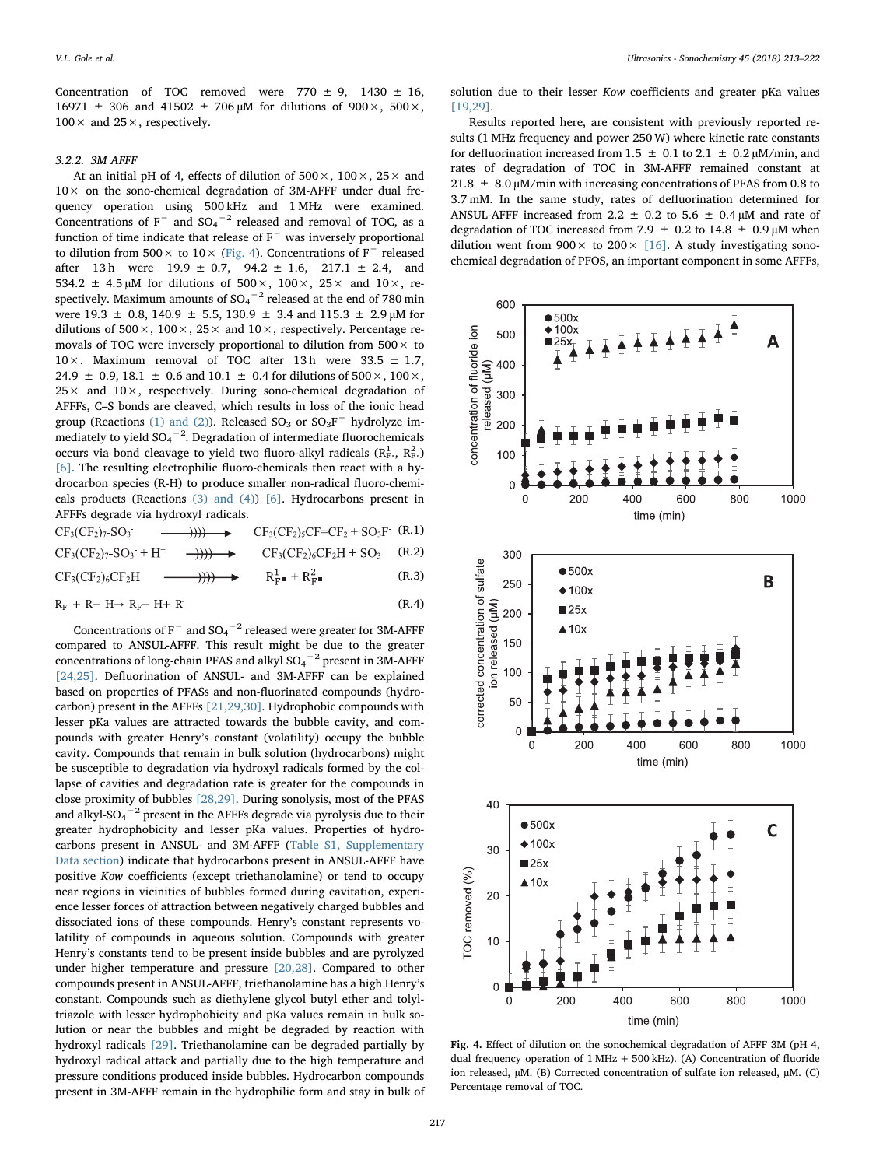Concentration of TOC removed were  $770 \pm 9$ ,  $1430 \pm 16$ ,  $16971 \pm 306$  and  $41502 \pm 706 \,\mu M$  for dilutions of  $900 \times$ ,  $500 \times$ ,  $100 \times$  and  $25 \times$ , respectively.

## 3.2.2. 3M AFFF

At an initial pH of 4, effects of dilution of  $500 \times$ ,  $100 \times$ ,  $25 \times$  and  $10\times$  on the sono-chemical degradation of 3M-AFFF under dual frequency operation using 500 kHz and 1 MHz were examined. Concentrations of  $F^-$  and  $SO_4^{-2}$  released and removal of TOC, as a function of time indicate that release of F<sup>−</sup> was inversely proportional to dilution from  $500 \times$  to  $10 \times$  [\(Fig. 4\)](#page-4-0). Concentrations of F<sup>−</sup> released after 13 h were  $19.9 \pm 0.7$ ,  $94.2 \pm 1.6$ ,  $217.1 \pm 2.4$ , and 534.2  $\pm$  4.5 µM for dilutions of 500 $\times$ , 100 $\times$ , 25 $\times$  and 10 $\times$ , respectively. Maximum amounts of SO $_4{}^{-2}$  released at the end of 780 min were 19.3  $\pm$  0.8, 140.9  $\pm$  5.5, 130.9  $\pm$  3.4 and 115.3  $\pm$  2.9 µM for dilutions of  $500 \times$ ,  $100 \times$ ,  $25 \times$  and  $10 \times$ , respectively. Percentage removals of TOC were inversely proportional to dilution from  $500 \times$  to  $10 \times$ . Maximum removal of TOC after 13h were 33.5  $\pm$  1.7, 24.9  $\pm$  0.9, 18.1  $\pm$  0.6 and 10.1  $\pm$  0.4 for dilutions of 500  $\times$ , 100  $\times$ ,  $25 \times$  and  $10 \times$ , respectively. During sono-chemical degradation of AFFFs, C–S bonds are cleaved, which results in loss of the ionic head group (Reactions [\(1\) and \(2\)](#page-4-1)). Released  $SO_3$  or  $SO_3F^-$  hydrolyze immediately to yield  ${\rm SO_4}^{-2}.$  Degradation of intermediate fluorochemicals occurs via bond cleavage to yield two fluoro-alkyl radicals ( $\mathrm{R_{F}^{1}}$ ,  $\mathrm{R_{F}^{2}}$ .) [\[6\].](#page-8-7) The resulting electrophilic fluoro-chemicals then react with a hydrocarbon species (R-H) to produce smaller non-radical fluoro-chemicals products (Reactions [\(3\) and \(4\)](#page-4-2)) [\[6\].](#page-8-7) Hydrocarbons present in AFFFs degrade via hydroxyl radicals.

<span id="page-4-2"></span><span id="page-4-1"></span>
$$
CF_3(CF_2)_{7}SO_3 \longrightarrow \text{HH} \longrightarrow \text{CF}_3(CF_2)_{5}CF = CF_2 + SO_3F \quad (R.1)
$$
\n
$$
CF_3(CF_2)_{7}SO_3 + H^+ \longrightarrow \text{HH} \longrightarrow \text{CF}_3(CF_2)_{6}CF_2H + SO_3 \quad (R.2)
$$
\n
$$
CF_3(CF_2)_{6}CF_2H \longrightarrow \text{HH} \longrightarrow \text{R}_{F}^1 + R_{F}^2 \longrightarrow \text{R}_{F}^1 + \text{R}_{F}^2 \tag{R.3}
$$
\n
$$
R_{F} + R - H \rightarrow R_{F} - H + R \tag{R.4}
$$

Concentrations of F<sup>-</sup> and  $SO_4$ <sup>-2</sup> released were greater for 3M-AFFF compared to ANSUL-AFFF. This result might be due to the greater concentrations of long-chain PFAS and alkyl  ${SO_4}^{-2}$  present in 3M-AFFF [\[24,25\].](#page-9-11) Defluorination of ANSUL- and 3M-AFFF can be explained based on properties of PFASs and non-fluorinated compounds (hydrocarbon) present in the AFFFs [\[21,29,30\]](#page-9-4). Hydrophobic compounds with lesser pKa values are attracted towards the bubble cavity, and compounds with greater Henry's constant (volatility) occupy the bubble cavity. Compounds that remain in bulk solution (hydrocarbons) might be susceptible to degradation via hydroxyl radicals formed by the collapse of cavities and degradation rate is greater for the compounds in close proximity of bubbles [\[28,29\]](#page-9-15). During sonolysis, most of the PFAS and alkyl-SO $_4^{\rm -2}$  present in the AFFFs degrade via pyrolysis due to their greater hydrophobicity and lesser pKa values. Properties of hydrocarbons present in ANSUL- and 3M-AFFF (Table S1, Supplementary Data section) indicate that hydrocarbons present in ANSUL-AFFF have positive Kow coefficients (except triethanolamine) or tend to occupy near regions in vicinities of bubbles formed during cavitation, experience lesser forces of attraction between negatively charged bubbles and dissociated ions of these compounds. Henry's constant represents volatility of compounds in aqueous solution. Compounds with greater Henry's constants tend to be present inside bubbles and are pyrolyzed under higher temperature and pressure [\[20,28\].](#page-9-14) Compared to other compounds present in ANSUL-AFFF, triethanolamine has a high Henry's constant. Compounds such as diethylene glycol butyl ether and tolyltriazole with lesser hydrophobicity and pKa values remain in bulk solution or near the bubbles and might be degraded by reaction with hydroxyl radicals [\[29\]](#page-9-16). Triethanolamine can be degraded partially by hydroxyl radical attack and partially due to the high temperature and pressure conditions produced inside bubbles. Hydrocarbon compounds present in 3M-AFFF remain in the hydrophilic form and stay in bulk of solution due to their lesser Kow coefficients and greater pKa values [19,29]

Results reported here, are consistent with previously reported results (1 MHz frequency and power 250 W) where kinetic rate constants for defluorination increased from 1.5  $\pm$  0.1 to 2.1  $\pm$  0.2  $\mu$ M/min, and rates of degradation of TOC in 3M-AFFF remained constant at 21.8  $\pm$  8.0 µM/min with increasing concentrations of PFAS from 0.8 to 3.7 mM. In the same study, rates of defluorination determined for ANSUL-AFFF increased from 2.2  $\pm$  0.2 to 5.6  $\pm$  0.4 µM and rate of degradation of TOC increased from 7.9  $\pm$  0.2 to 14.8  $\pm$  0.9  $\mu$ M when dilution went from  $900 \times$  to  $200 \times$  [\[16\].](#page-9-7) A study investigating sonochemical degradation of PFOS, an important component in some AFFFs,

<span id="page-4-0"></span>

Fig. 4. Effect of dilution on the sonochemical degradation of AFFF 3M (pH 4, dual frequency operation of 1 MHz + 500 kHz). (A) Concentration of fluoride ion released, µM. (B) Corrected concentration of sulfate ion released, µM. (C) Percentage removal of TOC.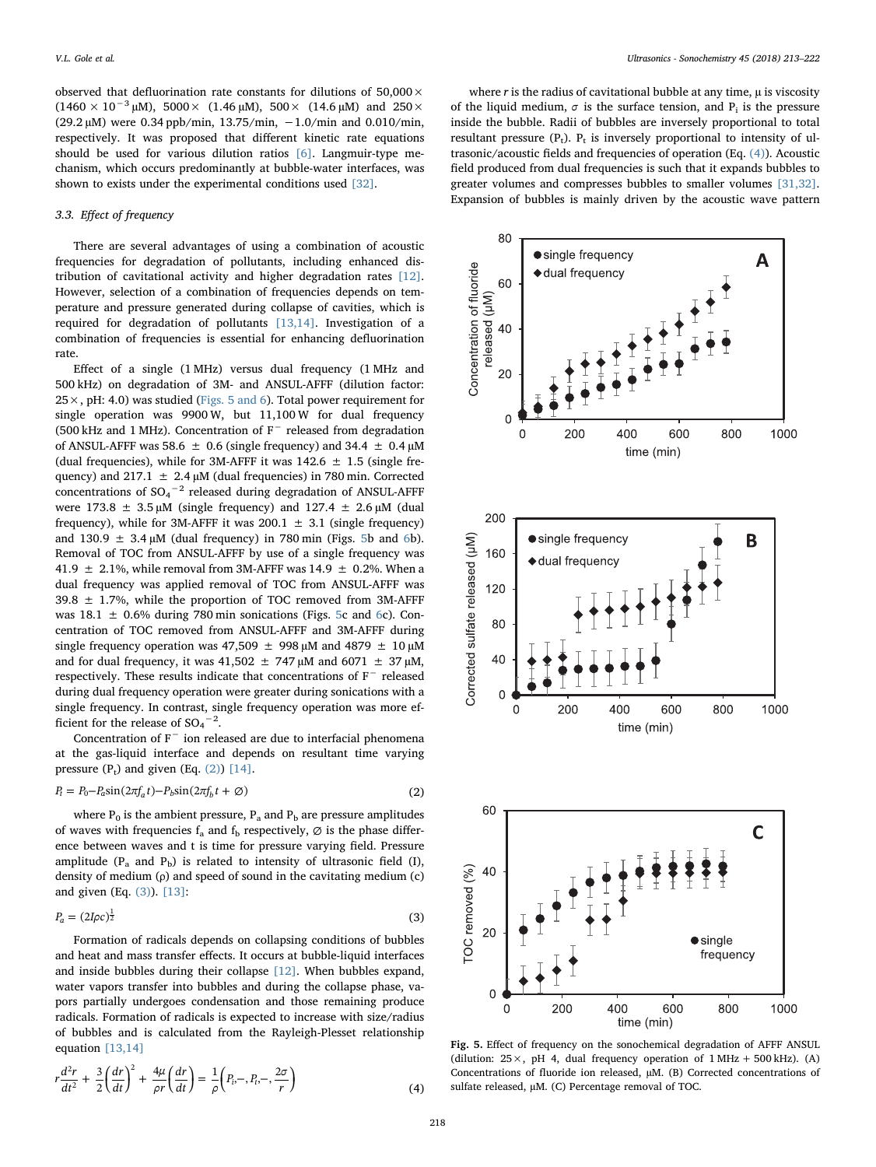observed that defluorination rate constants for dilutions of  $50,000 \times$  $(1460 \times 10^{-3} \,\text{\upmu M})$ , 5000×  $(1.46 \,\text{\upmu M})$ , 500×  $(14.6 \,\text{\upmu M})$  and 250× (29.2 µM) were 0.34 ppb/min, 13.75/min, −1.0/min and 0.010/min, respectively. It was proposed that different kinetic rate equations should be used for various dilution ratios [\[6\]](#page-8-7). Langmuir-type mechanism, which occurs predominantly at bubble-water interfaces, was shown to exists under the experimental conditions used [\[32\].](#page-9-9)

# 3.3. Effect of frequency

There are several advantages of using a combination of acoustic frequencies for degradation of pollutants, including enhanced distribution of cavitational activity and higher degradation rates [\[12\]](#page-9-1). However, selection of a combination of frequencies depends on temperature and pressure generated during collapse of cavities, which is required for degradation of pollutants [\[13,14\]](#page-9-18). Investigation of a combination of frequencies is essential for enhancing defluorination rate.

Effect of a single (1 MHz) versus dual frequency (1 MHz and 500 kHz) on degradation of 3M- and ANSUL-AFFF (dilution factor:  $25 \times$ , pH: 4.0) was studied [\(Figs. 5 and 6](#page-5-0)). Total power requirement for single operation was 9900 W, but 11,100 W for dual frequency (500 kHz and 1 MHz). Concentration of F<sup>−</sup> released from degradation of ANSUL-AFFF was 58.6  $\pm$  0.6 (single frequency) and 34.4  $\pm$  0.4  $\mu$ M (dual frequencies), while for 3M-AFFF it was  $142.6 \pm 1.5$  (single frequency) and 217.1  $\pm$  2.4 µM (dual frequencies) in 780 min. Corrected concentrations of  $SO_4^{\,-2}$  released during degradation of ANSUL-AFFF were  $173.8 \pm 3.5 \mu M$  (single frequency) and  $127.4 \pm 2.6 \mu M$  (dual frequency), while for 3M-AFFF it was 200.1  $\pm$  3.1 (single frequency) and  $130.9 \pm 3.4 \mu M$  (dual frequency) in 780 min (Figs. [5b](#page-5-0) and [6](#page-6-0)b). Removal of TOC from ANSUL-AFFF by use of a single frequency was 41.9  $\pm$  2.1%, while removal from 3M-AFFF was 14.9  $\pm$  0.2%. When a dual frequency was applied removal of TOC from ANSUL-AFFF was  $39.8 \pm 1.7$ %, while the proportion of TOC removed from 3M-AFFF was  $18.1 \pm 0.6\%$  $18.1 \pm 0.6\%$  $18.1 \pm 0.6\%$  during 780 min sonications (Figs. [5c](#page-5-0) and 6c). Concentration of TOC removed from ANSUL-AFFF and 3M-AFFF during single frequency operation was 47,509  $\pm$  998 µM and 4879  $\pm$  10 µM and for dual frequency, it was 41,502  $\pm$  747  $\mu$ M and 6071  $\pm$  37  $\mu$ M, respectively. These results indicate that concentrations of F<sup>−</sup> released during dual frequency operation were greater during sonications with a single frequency. In contrast, single frequency operation was more efficient for the release of  $SO_4^{\, -2}$ .

<span id="page-5-1"></span>Concentration of F<sup>−</sup> ion released are due to interfacial phenomena at the gas-liquid interface and depends on resultant time varying pressure  $(P_t)$  and given  $(Eq. (2))$  $(Eq. (2))$  [\[14\]](#page-9-19).

$$
P_t = P_0 - P_a \sin(2\pi f_a t) - P_b \sin(2\pi f_b t + \emptyset)
$$
\n(2)

where  $P_0$  is the ambient pressure,  $P_a$  and  $P_b$  are pressure amplitudes of waves with frequencies  $f_a$  and  $f_b$  respectively,  $\varnothing$  is the phase difference between waves and t is time for pressure varying field. Pressure amplitude ( $P_a$  and  $P_b$ ) is related to intensity of ultrasonic field (I), density of medium (ρ) and speed of sound in the cavitating medium (c) and given (Eq. [\(3\)\)](#page-5-2). [\[13\]](#page-9-18):

<span id="page-5-2"></span>
$$
P_a = (2I\rho c)^{\frac{1}{2}} \tag{3}
$$

Formation of radicals depends on collapsing conditions of bubbles and heat and mass transfer effects. It occurs at bubble-liquid interfaces and inside bubbles during their collapse [\[12\].](#page-9-1) When bubbles expand, water vapors transfer into bubbles and during the collapse phase, vapors partially undergoes condensation and those remaining produce radicals. Formation of radicals is expected to increase with size/radius of bubbles and is calculated from the Rayleigh-Plesset relationship equation [\[13,14\]](#page-9-18)

<span id="page-5-3"></span>
$$
r\frac{d^2r}{dt^2} + \frac{3}{2}\left(\frac{dr}{dt}\right)^2 + \frac{4\mu}{\rho r}\left(\frac{dr}{dt}\right) = \frac{1}{\rho}\left(P_t, -, P_t, -, \frac{2\sigma}{r}\right)
$$
(4)

where  $r$  is the radius of cavitational bubble at any time,  $\mu$  is viscosity of the liquid medium,  $\sigma$  is the surface tension, and  $P_i$  is the pressure inside the bubble. Radii of bubbles are inversely proportional to total resultant pressure  $(P_t)$ .  $P_t$  is inversely proportional to intensity of ultrasonic/acoustic fields and frequencies of operation (Eq. [\(4\)](#page-5-3)). Acoustic field produced from dual frequencies is such that it expands bubbles to greater volumes and compresses bubbles to smaller volumes [\[31,32\]](#page-9-8). Expansion of bubbles is mainly driven by the acoustic wave pattern

<span id="page-5-0"></span>

Fig. 5. Effect of frequency on the sonochemical degradation of AFFF ANSUL (dilution:  $25 \times$ , pH 4, dual frequency operation of  $1 \text{ MHz} + 500 \text{ kHz}$ ). (A) Concentrations of fluoride ion released, µM. (B) Corrected concentrations of sulfate released, µM. (C) Percentage removal of TOC.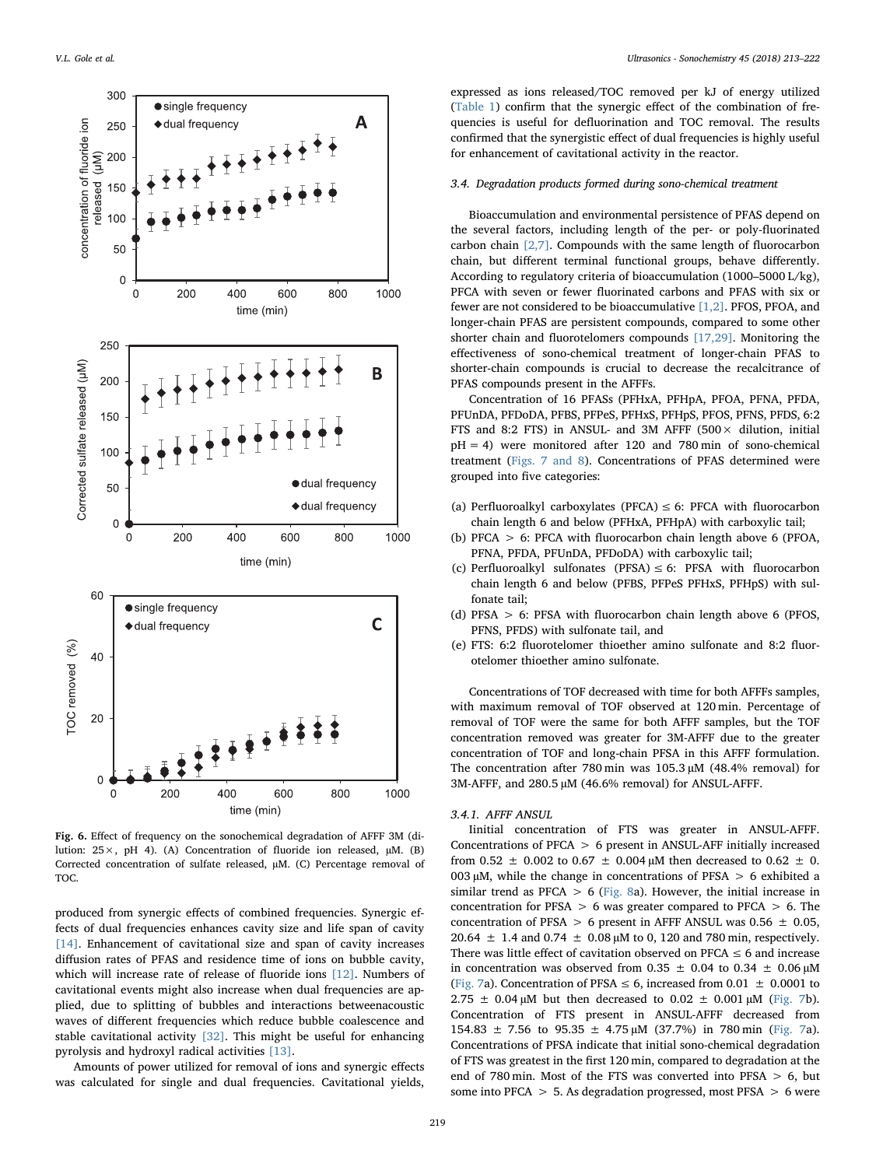<span id="page-6-0"></span>

Fig. 6. Effect of frequency on the sonochemical degradation of AFFF 3M (dilution: 25×, pH 4). (A) Concentration of fluoride ion released, µM. (B) Corrected concentration of sulfate released, µM. (C) Percentage removal of TOC.

produced from synergic effects of combined frequencies. Synergic effects of dual frequencies enhances cavity size and life span of cavity [\[14\]](#page-9-19). Enhancement of cavitational size and span of cavity increases diffusion rates of PFAS and residence time of ions on bubble cavity, which will increase rate of release of fluoride ions [\[12\]](#page-9-1). Numbers of cavitational events might also increase when dual frequencies are applied, due to splitting of bubbles and interactions betweenacoustic waves of different frequencies which reduce bubble coalescence and stable cavitational activity [\[32\].](#page-9-9) This might be useful for enhancing pyrolysis and hydroxyl radical activities [\[13\]](#page-9-18).

Amounts of power utilized for removal of ions and synergic effects was calculated for single and dual frequencies. Cavitational yields,

expressed as ions released/TOC removed per kJ of energy utilized ([Table 1](#page-7-0)) confirm that the synergic effect of the combination of frequencies is useful for defluorination and TOC removal. The results confirmed that the synergistic effect of dual frequencies is highly useful for enhancement of cavitational activity in the reactor.

## 3.4. Degradation products formed during sono-chemical treatment

Bioaccumulation and environmental persistence of PFAS depend on the several factors, including length of the per- or poly-fluorinated carbon chain [\[2,7\].](#page-8-6) Compounds with the same length of fluorocarbon chain, but different terminal functional groups, behave differently. According to regulatory criteria of bioaccumulation (1000–5000 L/kg), PFCA with seven or fewer fluorinated carbons and PFAS with six or fewer are not considered to be bioaccumulative [\[1,2\].](#page-8-0) PFOS, PFOA, and longer-chain PFAS are persistent compounds, compared to some other shorter chain and fluorotelomers compounds [\[17,29\]](#page-9-20). Monitoring the effectiveness of sono-chemical treatment of longer-chain PFAS to shorter-chain compounds is crucial to decrease the recalcitrance of PFAS compounds present in the AFFFs.

Concentration of 16 PFASs (PFHxA, PFHpA, PFOA, PFNA, PFDA, PFUnDA, PFDoDA, PFBS, PFPeS, PFHxS, PFHpS, PFOS, PFNS, PFDS, 6:2 FTS and 8:2 FTS) in ANSUL- and 3M AFFF (500 $\times$  dilution, initial pH = 4) were monitored after 120 and 780 min of sono-chemical treatment ([Figs. 7 and 8\)](#page-7-1). Concentrations of PFAS determined were grouped into five categories:

- (a) Perfluoroalkyl carboxylates (PFCA)  $\leq$  6: PFCA with fluorocarbon chain length 6 and below (PFHxA, PFHpA) with carboxylic tail;
- (b) PFCA > 6: PFCA with fluorocarbon chain length above 6 (PFOA, PFNA, PFDA, PFUnDA, PFDoDA) with carboxylic tail;
- (c) Perfluoroalkyl sulfonates (PFSA)  $\leq$  6: PFSA with fluorocarbon chain length 6 and below (PFBS, PFPeS PFHxS, PFHpS) with sulfonate tail;
- (d) PFSA > 6: PFSA with fluorocarbon chain length above 6 (PFOS, PFNS, PFDS) with sulfonate tail, and
- (e) FTS: 6:2 fluorotelomer thioether amino sulfonate and 8:2 fluorotelomer thioether amino sulfonate.

Concentrations of TOF decreased with time for both AFFFs samples, with maximum removal of TOF observed at 120 min. Percentage of removal of TOF were the same for both AFFF samples, but the TOF concentration removed was greater for 3M-AFFF due to the greater concentration of TOF and long-chain PFSA in this AFFF formulation. The concentration after 780 min was  $105.3 \mu M$  (48.4% removal) for 3M-AFFF, and 280.5 µM (46.6% removal) for ANSUL-AFFF.

## 3.4.1. AFFF ANSUL

Iinitial concentration of FTS was greater in ANSUL-AFFF. Concentrations of PFCA > 6 present in ANSUL-AFF initially increased from 0.52  $\pm$  0.002 to 0.67  $\pm$  0.004 µM then decreased to 0.62  $\pm$  0. 003  $\mu$ M, while the change in concentrations of PFSA  $> 6$  exhibited a similar trend as PFCA  $> 6$  [\(Fig. 8](#page-7-2)a). However, the initial increase in concentration for PFSA  $> 6$  was greater compared to PFCA  $> 6$ . The concentration of PFSA  $> 6$  present in AFFF ANSUL was 0.56  $\pm$  0.05, 20.64  $\pm$  1.4 and 0.74  $\pm$  0.08 µM to 0, 120 and 780 min, respectively. There was little effect of cavitation observed on PFCA  $\leq$  6 and increase in concentration was observed from 0.35  $\pm$  0.04 to 0.34  $\pm$  0.06  $\mu$ M ([Fig. 7](#page-7-1)a). Concentration of PFSA  $\leq$  6, increased from 0.01  $\pm$  0.0001 to  $2.75 \pm 0.04 \,\mu M$  but then decreased to  $0.02 \pm 0.001 \,\mu M$  [\(Fig. 7b](#page-7-1)). Concentration of FTS present in ANSUL-AFFF decreased from 154.83  $\pm$  7.56 to 95.35  $\pm$  4.75  $\mu$ M (37.7%) in 780 min [\(Fig. 7](#page-7-1)a). Concentrations of PFSA indicate that initial sono-chemical degradation of FTS was greatest in the first 120 min, compared to degradation at the end of 780 min. Most of the FTS was converted into PFSA > 6, but some into PFCA > 5. As degradation progressed, most PFSA > 6 were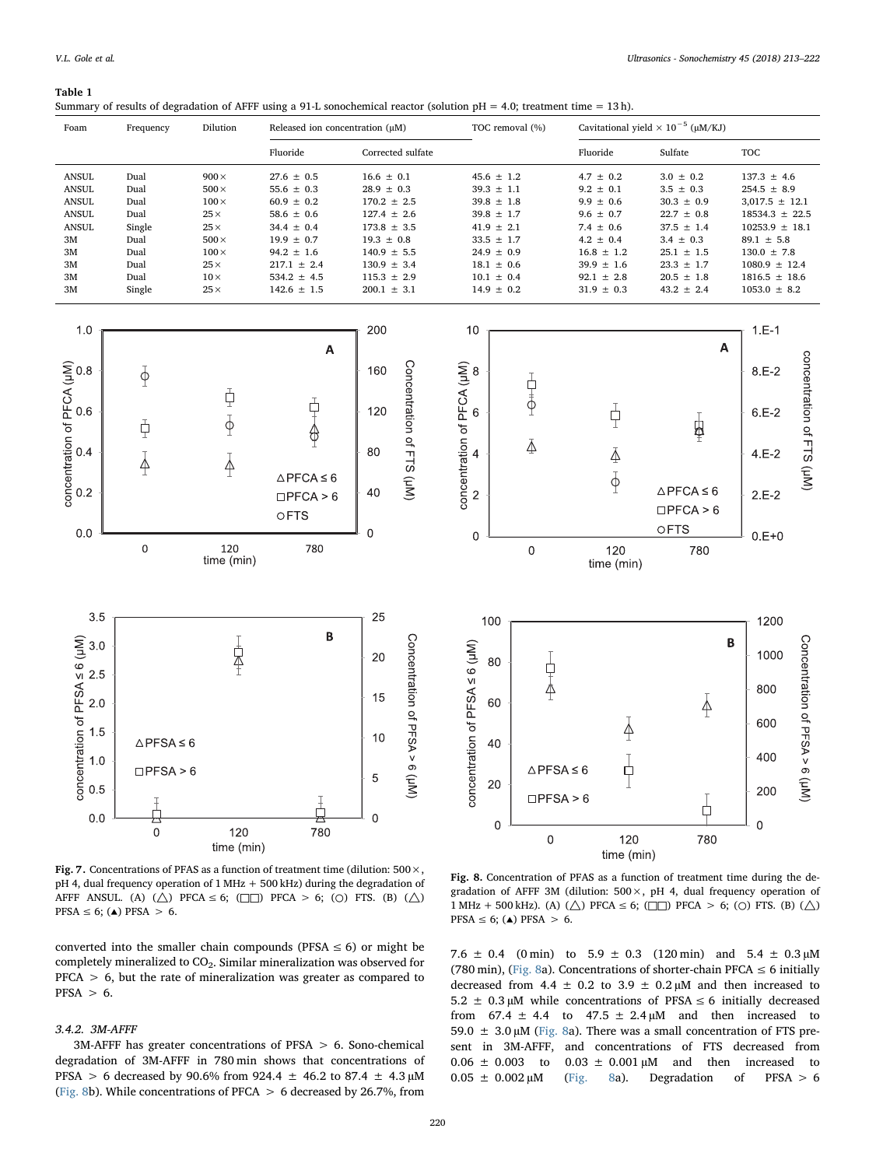#### <span id="page-7-0"></span>Table 1

|  |  | Summary of results of degradation of AFFF using a 91-L sonochemical reactor (solution $pH = 4.0$ ; treatment time = 13h). |
|--|--|---------------------------------------------------------------------------------------------------------------------------|
|--|--|---------------------------------------------------------------------------------------------------------------------------|

<span id="page-7-2"></span><span id="page-7-1"></span>

| Foam                                                                                                                             | Frequency                                                                        | Dilution                                                                                                                                        | Released ion concentration (µM)                                                                                                                                                     |                                                                                                                                                                                         | TOC removal (%)                                                                                                                                                                  |                                                                                                                                                                            | Cavitational yield $\times 10^{-5}$ (µM/KJ)                                                                                                                                   |                                                                                                                                                                                                         |
|----------------------------------------------------------------------------------------------------------------------------------|----------------------------------------------------------------------------------|-------------------------------------------------------------------------------------------------------------------------------------------------|-------------------------------------------------------------------------------------------------------------------------------------------------------------------------------------|-----------------------------------------------------------------------------------------------------------------------------------------------------------------------------------------|----------------------------------------------------------------------------------------------------------------------------------------------------------------------------------|----------------------------------------------------------------------------------------------------------------------------------------------------------------------------|-------------------------------------------------------------------------------------------------------------------------------------------------------------------------------|---------------------------------------------------------------------------------------------------------------------------------------------------------------------------------------------------------|
|                                                                                                                                  |                                                                                  |                                                                                                                                                 | Fluoride                                                                                                                                                                            | Corrected sulfate                                                                                                                                                                       |                                                                                                                                                                                  | Fluoride                                                                                                                                                                   | Sulfate                                                                                                                                                                       | <b>TOC</b>                                                                                                                                                                                              |
| <b>ANSUL</b><br><b>ANSUL</b><br><b>ANSUL</b><br><b>ANSUL</b><br><b>ANSUL</b><br>3M<br>3M<br>3M<br>$3\mathrm{M}$<br>$3\mathrm{M}$ | Dual<br>Dual<br>Dual<br>Dual<br>Single<br>Dual<br>Dual<br>Dual<br>Dual<br>Single | $900 \times$<br>$500\times$<br>$100 \times$<br>$25\times$<br>$25\times$<br>$500\times$<br>$100\times$<br>$25\times$<br>$10\times$<br>$25\times$ | $27.6 \pm 0.5$<br>55.6 $\pm$ 0.3<br>$60.9 \pm 0.2$<br>58.6 $\pm$ 0.6<br>$34.4 \pm 0.4$<br>$19.9 \pm 0.7$<br>$94.2 \pm 1.6$<br>$217.1 \pm 2.4$<br>534.2 $\pm$ 4.5<br>$142.6 \pm 1.5$ | $16.6 \pm 0.1$<br>$28.9 \pm 0.3$<br>$170.2 \pm 2.5$<br>$127.4 \pm 2.6$<br>$173.8 \pm 3.5$<br>$19.3 \pm 0.8$<br>$140.9 \pm 5.5$<br>$130.9 \pm 3.4$<br>$115.3 \pm 2.9$<br>200.1 $\pm$ 3.1 | $45.6 \pm 1.2$<br>$39.3 \pm 1.1$<br>$39.8 \pm 1.8$<br>$39.8 \pm 1.7$<br>$41.9 \pm 2.1$<br>$33.5 \pm 1.7$<br>$24.9 \pm 0.9$<br>$18.1 \pm 0.6$<br>$10.1 \pm 0.4$<br>$14.9 \pm 0.2$ | $4.7 \pm 0.2$<br>$9.2 \pm 0.1$<br>$9.9 \pm 0.6$<br>$9.6 \pm 0.7$<br>$7.4 \pm 0.6$<br>$4.2 \pm 0.4$<br>$16.8 \pm 1.2$<br>$39.9 \pm 1.6$<br>$92.1 \pm 2.8$<br>$31.9 \pm 0.3$ | $3.0 \pm 0.2$<br>$3.5 \pm 0.3$<br>$30.3 \pm 0.9$<br>$22.7 \pm 0.8$<br>$37.5 \pm 1.4$<br>$3.4 \pm 0.3$<br>$25.1 \pm 1.5$<br>$23.3 \pm 1.7$<br>$20.5 \pm 1.8$<br>$43.2 \pm 2.4$ | $137.3 \pm 4.6$<br>$254.5 \pm 8.9$<br>$3,017.5 \pm 12.1$<br>$18534.3 \pm 22.5$<br>$10253.9 \pm 18.1$<br>$89.1 \pm 5.8$<br>$130.0 \pm 7.8$<br>$1080.9 \pm 12.4$<br>$1816.5 \pm 18.6$<br>$1053.0 \pm 8.2$ |
| 1.0                                                                                                                              |                                                                                  |                                                                                                                                                 |                                                                                                                                                                                     | 200                                                                                                                                                                                     | 10                                                                                                                                                                               |                                                                                                                                                                            |                                                                                                                                                                               | $1.E-1$                                                                                                                                                                                                 |
|                                                                                                                                  | $\Phi$                                                                           |                                                                                                                                                 | A                                                                                                                                                                                   | 160                                                                                                                                                                                     |                                                                                                                                                                                  |                                                                                                                                                                            | Α                                                                                                                                                                             | $8.E-2$                                                                                                                                                                                                 |
| concentration of PFCA ( $\mu$ M)<br>concentration of PFCA ( $\mu$ M)<br>concentration of PFCA ( $\mu$ M)                         | ф                                                                                | ₫<br>$\overline{\varphi}$                                                                                                                       | 中心                                                                                                                                                                                  | Concentration of FTS (µM)<br>120                                                                                                                                                        | concentration of PFCA $(\mu M)$<br>$\sim$ $\sim$ $\infty$<br>古事                                                                                                                  | $\frac{1}{1}$                                                                                                                                                              | $\frac{1}{2}$                                                                                                                                                                 | concentration of FTS (µM)<br>$6.E-2$                                                                                                                                                                    |
|                                                                                                                                  | $\frac{1}{4}$                                                                    | $\frac{1}{2}$                                                                                                                                   |                                                                                                                                                                                     | 80                                                                                                                                                                                      |                                                                                                                                                                                  | $\bar{\mathbb{A}}$                                                                                                                                                         |                                                                                                                                                                               | $4.E-2$                                                                                                                                                                                                 |
|                                                                                                                                  |                                                                                  |                                                                                                                                                 | $\triangle$ PFCA $\leq 6$<br>$\square$ PFCA > 6<br>OFTS                                                                                                                             | 40                                                                                                                                                                                      |                                                                                                                                                                                  | $\bar{\varphi}$                                                                                                                                                            | $\triangle$ PFCA $\leq 6$<br>$\square$ PFCA > 6                                                                                                                               | $2.E-2$                                                                                                                                                                                                 |
| 0.0                                                                                                                              | $\mathsf{O}\xspace$                                                              | 120<br>time (min)                                                                                                                               | 780                                                                                                                                                                                 | $\mathbf 0$                                                                                                                                                                             | 0<br>$\mbox{O}$                                                                                                                                                                  | 120<br>time (min)                                                                                                                                                          | OFTS<br>780                                                                                                                                                                   | $0.E + 0$                                                                                                                                                                                               |
|                                                                                                                                  |                                                                                  |                                                                                                                                                 |                                                                                                                                                                                     |                                                                                                                                                                                         |                                                                                                                                                                                  |                                                                                                                                                                            |                                                                                                                                                                               |                                                                                                                                                                                                         |
| 3.5                                                                                                                              |                                                                                  |                                                                                                                                                 | B                                                                                                                                                                                   | 25                                                                                                                                                                                      | 100                                                                                                                                                                              |                                                                                                                                                                            |                                                                                                                                                                               | 1200                                                                                                                                                                                                    |
| concentration of PFSA $\leq 6$ ( $\mu$ M)<br>3.0<br>2.5                                                                          |                                                                                  | $\frac{1}{4}$                                                                                                                                   |                                                                                                                                                                                     | Concentration of PFSA > 6 (µM)<br>20                                                                                                                                                    | 80                                                                                                                                                                               |                                                                                                                                                                            | B                                                                                                                                                                             | Concentration of PFSA > 6 (µM)<br>1000                                                                                                                                                                  |
| 2.0                                                                                                                              |                                                                                  |                                                                                                                                                 |                                                                                                                                                                                     | 15                                                                                                                                                                                      | 早本<br>60                                                                                                                                                                         |                                                                                                                                                                            | $\bar{\varphi}$                                                                                                                                                               | 800                                                                                                                                                                                                     |
| 1.5                                                                                                                              |                                                                                  |                                                                                                                                                 |                                                                                                                                                                                     | 10                                                                                                                                                                                      |                                                                                                                                                                                  |                                                                                                                                                                            |                                                                                                                                                                               | 600                                                                                                                                                                                                     |
| 1.0                                                                                                                              | $\triangle$ PFSA $\leq 6$                                                        |                                                                                                                                                 |                                                                                                                                                                                     |                                                                                                                                                                                         | 40                                                                                                                                                                               | $\triangle$ PFSA $\leq 6$                                                                                                                                                  |                                                                                                                                                                               | 400                                                                                                                                                                                                     |
| 0.5                                                                                                                              | $\square$ PFSA > 6                                                               |                                                                                                                                                 |                                                                                                                                                                                     | 5                                                                                                                                                                                       | concentration of PFSA $\leq 6$ ( $\mu$ M)<br>20                                                                                                                                  | ₿<br>$\square$ PFSA > 6                                                                                                                                                    |                                                                                                                                                                               | 200                                                                                                                                                                                                     |
| 0.0                                                                                                                              | Į<br>$\boldsymbol{0}$                                                            | 120                                                                                                                                             | 780                                                                                                                                                                                 | $\mathbf 0$                                                                                                                                                                             | $\mathbf 0$                                                                                                                                                                      |                                                                                                                                                                            | 户                                                                                                                                                                             | $\boldsymbol{0}$                                                                                                                                                                                        |
|                                                                                                                                  |                                                                                  | time (min)                                                                                                                                      |                                                                                                                                                                                     |                                                                                                                                                                                         | $\mathsf{O}\xspace$                                                                                                                                                              | 120<br>time (min)                                                                                                                                                          | 780                                                                                                                                                                           |                                                                                                                                                                                                         |

Fig. 7. Concentrations of PFAS as a function of treatment time (dilution:  $500 \times$ ,  $pH$  4, dual frequency operation of 1 MHz  $+500$  kHz) during the degradation of AFFF ANSUL. (A) ( $\triangle$ ) PFCA  $\leq 6$ ; ( $\square$ ) PFCA  $> 6$ ; ( $\bigcirc$ ) FTS. (B) ( $\triangle$ )  $PFSA \leq 6$ ; ( $\triangle$ ) PFSA > 6.

converted into the smaller chain compounds (PFSA  $\leq$  6) or might be completely mineralized to CO<sub>2</sub>. Similar mineralization was observed for PFCA > 6, but the rate of mineralization was greater as compared to  $PFSA > 6.$ 

### 3.4.2. 3M-AFFF

3M-AFFF has greater concentrations of PFSA > 6. Sono-chemical degradation of 3M-AFFF in 780 min shows that concentrations of PFSA > 6 decreased by 90.6% from 924.4  $\pm$  46.2 to 87.4  $\pm$  4.3 µM ([Fig. 8](#page-7-2)b). While concentrations of PFCA  $> 6$  decreased by 26.7%, from

Fig. 8. Concentration of PFAS as a function of treatment time during the degradation of AFFF 3M (dilution:  $500 \times$ , pH 4, dual frequency operation of 1 MHz + 500 kHz). (A) ( $\triangle$ ) PFCA  $\leq$  6; ( $\square$ ) PFCA  $>$  6; ( $\odot$ ) FTS. (B) ( $\triangle$ )  $PFSA \leq 6$ ; ( $\triangle$ ) PFSA > 6.

7.6  $\pm$  0.4 (0 min) to 5.9  $\pm$  0.3 (120 min) and 5.4  $\pm$  0.3  $\mu$ M (780 min), ([Fig. 8a](#page-7-2)). Concentrations of shorter-chain PFCA  $\leq$  6 initially decreased from 4.4  $\pm$  0.2 to 3.9  $\pm$  0.2  $\mu$ M and then increased to 5.2  $\pm$  0.3 μM while concentrations of PFSA  $\leq$  6 initially decreased from  $67.4 \pm 4.4$  to  $47.5 \pm 2.4 \mu M$  and then increased to 59.0  $\pm$  3.0 µM [\(Fig. 8a](#page-7-2)). There was a small concentration of FTS present in 3M-AFFF, and concentrations of FTS decreased from  $0.06 \pm 0.003$  to  $0.03 \pm 0.001 \mu M$  and then increased to  $0.05 \pm 0.002 \mu M$  ([Fig. 8a](#page-7-2)). Degradation of PFSA > 6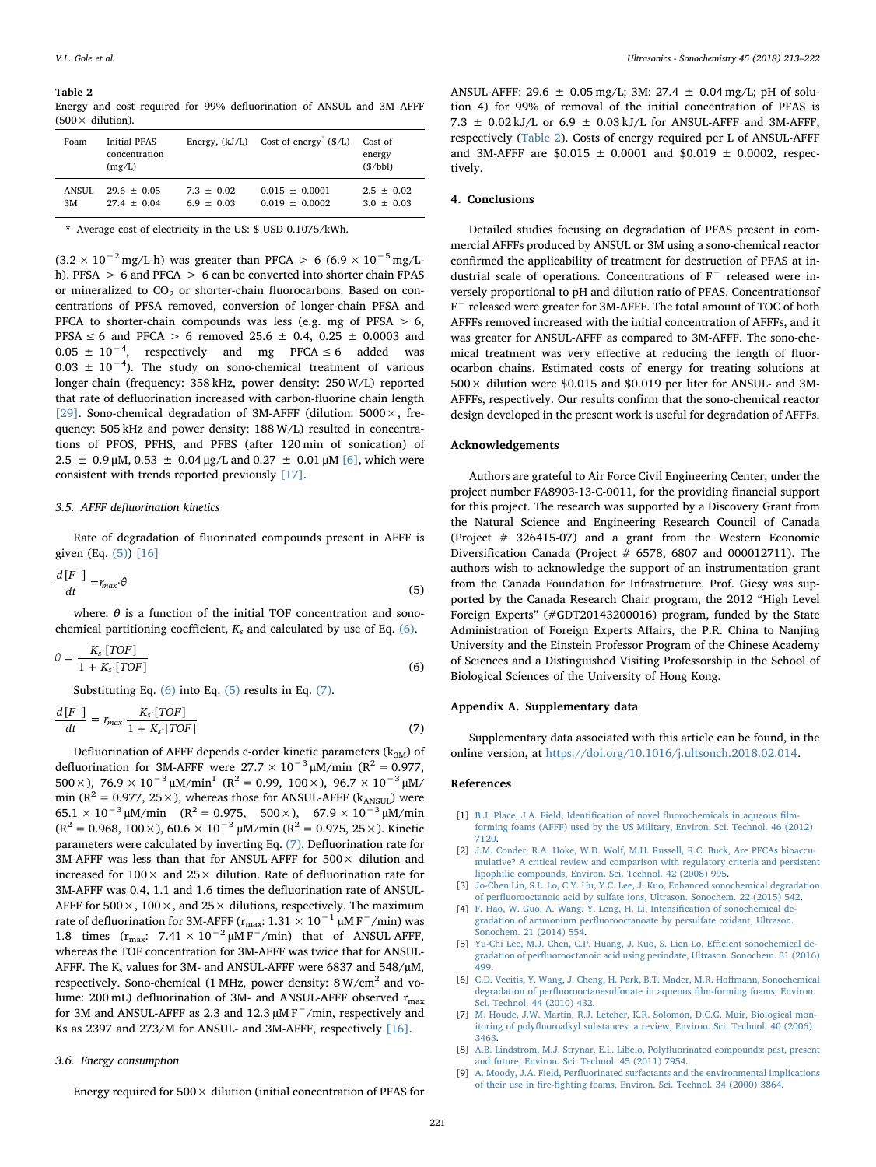#### <span id="page-8-11"></span>Table 2

Energy and cost required for 99% defluorination of ANSUL and 3M AFFF  $(500 \times$  dilution).

| Foam   | <b>Initial PFAS</b><br>concentration<br>(mg/L) | Energy, $(kJ/L)$ | Cost of energy $(S/L)$ | Cost of<br>energy<br>(S/bbl) |
|--------|------------------------------------------------|------------------|------------------------|------------------------------|
| ANSUL. | $29.6 \pm 0.05$                                | $7.3 + 0.02$     | $0.015 + 0.0001$       | $2.5 \pm 0.02$               |
| 3M     | $27.4 + 0.04$                                  | $6.9 + 0.03$     | $0.019 + 0.0002$       | $3.0 \pm 0.03$               |

<span id="page-8-12"></span>\* Average cost of electricity in the US: \$ USD 0.1075/kWh.

 $(3.2 \times 10^{-2} \text{ mg/L-h})$  was greater than PFCA > 6 (6.9 × 10<sup>-5</sup> mg/Lh). PFSA > 6 and PFCA > 6 can be converted into shorter chain FPAS or mineralized to  $CO<sub>2</sub>$  or shorter-chain fluorocarbons. Based on concentrations of PFSA removed, conversion of longer-chain PFSA and PFCA to shorter-chain compounds was less (e.g. mg of PFSA > 6, PFSA ≤ 6 and PFCA > 6 removed 25.6 ± 0.4, 0.25 ± 0.0003 and  $0.05 \pm 10^{-4}$ , respectively and mg PFCA ≤ 6 added was  $0.03 \pm 10^{-4}$ ). The study on sono-chemical treatment of various longer-chain (frequency: 358 kHz, power density: 250 W/L) reported that rate of defluorination increased with carbon-fluorine chain length [\[29\]](#page-9-16). Sono-chemical degradation of 3M-AFFF (dilution: 5000×, frequency: 505 kHz and power density: 188 W/L) resulted in concentrations of PFOS, PFHS, and PFBS (after 120 min of sonication) of 2.5  $\pm$  0.9 μM, 0.53  $\pm$  0.04 μg/L and 0.27  $\pm$  0.01 μM [\[6\],](#page-8-7) which were consistent with trends reported previously [\[17\]](#page-9-20).

#### 3.5. AFFF defluorination kinetics

<span id="page-8-8"></span>Rate of degradation of fluorinated compounds present in AFFF is given (Eq. [\(5\)\)](#page-8-8) [\[16\]](#page-9-7)

$$
\frac{d\left[F^{-}\right]}{dt} = r_{max} \cdot \theta \tag{5}
$$

<span id="page-8-9"></span>where:  $\theta$  is a function of the initial TOF concentration and sonochemical partitioning coefficient,  $K_s$  and calculated by use of Eq. [\(6\).](#page-8-9)

$$
\theta = \frac{K_{s} \cdot [TOF]}{1 + K_{s} \cdot [TOF]} \tag{6}
$$

<span id="page-8-10"></span>Substituting Eq. [\(6\)](#page-8-9) into Eq. [\(5\)](#page-8-8) results in Eq. [\(7\).](#page-8-10)

$$
\frac{d\left[F^{-}\right]}{dt} = r_{max} \cdot \frac{K_{s} \cdot [TOF]}{1 + K_{s} \cdot [TOF]} \tag{7}
$$

Defluorination of AFFF depends c-order kinetic parameters  $(k_{3M})$  of defluorination for 3M-AFFF were  $27.7 \times 10^{-3}$  µM/min (R<sup>2</sup> = 0.977, 500 × ), 76.9 ×  $10^{-3}$   $\mu$ M/min<sup>1</sup> (R<sup>2</sup> = 0.99, 100 × ), 96.7 ×  $10^{-3}$   $\mu$ M/ min ( $R^2 = 0.977$ ,  $25 \times$ ), whereas those for ANSUL-AFFF ( $k_{ANSUL}$ ) were  $65.1 \times 10^{-3} \mu$ M/min (R<sup>2</sup> = 0.975, 500×), 67.9 × 10<sup>-3</sup>  $\mu$ M/min  $(R^2 = 0.968, 100 \times)$ , 60.6 × 10<sup>-3</sup> µM/min ( $R^2 = 0.975, 25 \times$ ). Kinetic parameters were calculated by inverting Eq. [\(7\).](#page-8-10) Defluorination rate for 3M-AFFF was less than that for ANSUL-AFFF for  $500 \times$  dilution and increased for  $100 \times$  and  $25 \times$  dilution. Rate of defluorination rate for 3M-AFFF was 0.4, 1.1 and 1.6 times the defluorination rate of ANSUL-AFFF for  $500 \times$ ,  $100 \times$ , and  $25 \times$  dilutions, respectively. The maximum rate of defluorination for 3M-AFFF ( $r_{\text{max}}$ : 1.31 × 10<sup>-1</sup> µM F<sup>-</sup>/min) was 1.8 times  $(r_{\text{max}}$ : 7.41 × 10<sup>-2</sup> µM F<sup>-</sup>/min) that of ANSUL-AFFF, whereas the TOF concentration for 3M-AFFF was twice that for ANSUL-AFFF. The  $K_s$  values for 3M- and ANSUL-AFFF were 6837 and 548/ $\mu$ M, respectively. Sono-chemical (1 MHz, power density:  $8 W/cm<sup>2</sup>$  and volume: 200 mL) defluorination of 3M- and ANSUL-AFFF observed  $r_{\text{max}}$ for 3M and ANSUL-AFFF as 2.3 and 12.3  $\mu$ M F<sup> $-$ </sup>/min, respectively and Ks as 2397 and 273/M for ANSUL- and 3M-AFFF, respectively [\[16\]](#page-9-7).

### 3.6. Energy consumption

Energy required for  $500 \times$  dilution (initial concentration of PFAS for

ANSUL-AFFF: 29.6  $\pm$  0.05 mg/L; 3M: 27.4  $\pm$  0.04 mg/L; pH of solution 4) for 99% of removal of the initial concentration of PFAS is 7.3  $\pm$  0.02 kJ/L or 6.9  $\pm$  0.03 kJ/L for ANSUL-AFFF and 3M-AFFF, respectively ([Table 2\)](#page-8-11). Costs of energy required per L of ANSUL-AFFF and 3M-AFFF are \$0.015  $\pm$  0.0001 and \$0.019  $\pm$  0.0002, respectively.

## 4. Conclusions

Detailed studies focusing on degradation of PFAS present in commercial AFFFs produced by ANSUL or 3M using a sono-chemical reactor confirmed the applicability of treatment for destruction of PFAS at industrial scale of operations. Concentrations of F<sup>−</sup> released were inversely proportional to pH and dilution ratio of PFAS. Concentrationsof F<sup>−</sup> released were greater for 3M-AFFF. The total amount of TOC of both AFFFs removed increased with the initial concentration of AFFFs, and it was greater for ANSUL-AFFF as compared to 3M-AFFF. The sono-chemical treatment was very effective at reducing the length of fluorocarbon chains. Estimated costs of energy for treating solutions at  $500 \times$  dilution were \$0.015 and \$0.019 per liter for ANSUL- and 3M-AFFFs, respectively. Our results confirm that the sono-chemical reactor design developed in the present work is useful for degradation of AFFFs.

## Acknowledgements

Authors are grateful to Air Force Civil Engineering Center, under the project number FA8903-13-C-0011, for the providing financial support for this project. The research was supported by a Discovery Grant from the Natural Science and Engineering Research Council of Canada (Project # 326415-07) and a grant from the Western Economic Diversification Canada (Project # 6578, 6807 and 000012711). The authors wish to acknowledge the support of an instrumentation grant from the Canada Foundation for Infrastructure. Prof. Giesy was supported by the Canada Research Chair program, the 2012 "High Level Foreign Experts" (#GDT20143200016) program, funded by the State Administration of Foreign Experts Affairs, the P.R. China to Nanjing University and the Einstein Professor Program of the Chinese Academy of Sciences and a Distinguished Visiting Professorship in the School of Biological Sciences of the University of Hong Kong.

## Appendix A. Supplementary data

Supplementary data associated with this article can be found, in the online version, at [https://doi.org/10.1016/j.ultsonch.2018.02.014.](https://doi.org/10.1016/j.ultsonch.2018.02.014)

#### References

- <span id="page-8-0"></span>[1] [B.J. Place, J.A. Field, Identi](http://refhub.elsevier.com/S1350-4177(18)30193-7/h0005)fication of novel fluorochemicals in aqueous film[forming foams \(AFFF\) used by the US Military, Environ. Sci. Technol. 46 \(2012\)](http://refhub.elsevier.com/S1350-4177(18)30193-7/h0005) [7120.](http://refhub.elsevier.com/S1350-4177(18)30193-7/h0005)
- <span id="page-8-6"></span>[2] [J.M. Conder, R.A. Hoke, W.D. Wolf, M.H. Russell, R.C. Buck, Are PFCAs bioaccu](http://refhub.elsevier.com/S1350-4177(18)30193-7/h0010)[mulative? A critical review and comparison with regulatory criteria and persistent](http://refhub.elsevier.com/S1350-4177(18)30193-7/h0010) [lipophilic compounds, Environ. Sci. Technol. 42 \(2008\) 995.](http://refhub.elsevier.com/S1350-4177(18)30193-7/h0010)
- <span id="page-8-1"></span>[Jo-Chen Lin, S.L. Lo, C.Y. Hu, Y.C. Lee, J. Kuo, Enhanced sonochemical degradation](http://refhub.elsevier.com/S1350-4177(18)30193-7/h0015) of perfl[uorooctanoic acid by sulfate ions, Ultrason. Sonochem. 22 \(2015\) 542.](http://refhub.elsevier.com/S1350-4177(18)30193-7/h0015)
- <span id="page-8-2"></span>[4] [F. Hao, W. Guo, A. Wang, Y. Leng, H. Li, Intensi](http://refhub.elsevier.com/S1350-4177(18)30193-7/h0020)fication of sonochemical degradation of ammonium perfl[uorooctanoate by persulfate oxidant, Ultrason.](http://refhub.elsevier.com/S1350-4177(18)30193-7/h0020) [Sonochem. 21 \(2014\) 554.](http://refhub.elsevier.com/S1350-4177(18)30193-7/h0020)
- [5] [Yu-Chi Lee, M.J. Chen, C.P. Huang, J. Kuo, S. Lien Lo, E](http://refhub.elsevier.com/S1350-4177(18)30193-7/h0025)fficient sonochemical degradation of perfl[uorooctanoic acid using periodate, Ultrason. Sonochem. 31 \(2016\)](http://refhub.elsevier.com/S1350-4177(18)30193-7/h0025) [499.](http://refhub.elsevier.com/S1350-4177(18)30193-7/h0025)
- <span id="page-8-7"></span>[6] [C.D. Vecitis, Y. Wang, J. Cheng, H. Park, B.T. Mader, M.R. Ho](http://refhub.elsevier.com/S1350-4177(18)30193-7/h0030)ffmann, Sonochemical degradation of perfl[uorooctanesulfonate in aqueous](http://refhub.elsevier.com/S1350-4177(18)30193-7/h0030) film-forming foams, Environ. [Sci. Technol. 44 \(2010\) 432.](http://refhub.elsevier.com/S1350-4177(18)30193-7/h0030)
- <span id="page-8-3"></span>[7] [M. Houde, J.W. Martin, R.J. Letcher, K.R. Solomon, D.C.G. Muir, Biological mon](http://refhub.elsevier.com/S1350-4177(18)30193-7/h0035)itoring of polyfl[uoroalkyl substances: a review, Environ. Sci. Technol. 40 \(2006\)](http://refhub.elsevier.com/S1350-4177(18)30193-7/h0035) [3463.](http://refhub.elsevier.com/S1350-4177(18)30193-7/h0035)
- <span id="page-8-4"></span>[8] [A.B. Lindstrom, M.J. Strynar, E.L. Libelo, Poly](http://refhub.elsevier.com/S1350-4177(18)30193-7/h0040)fluorinated compounds: past, present [and future, Environ. Sci. Technol. 45 \(2011\) 7954.](http://refhub.elsevier.com/S1350-4177(18)30193-7/h0040)
- <span id="page-8-5"></span>A. Moody, J.A. Field, Perfl[uorinated surfactants and the environmental implications](http://refhub.elsevier.com/S1350-4177(18)30193-7/h0045) of their use in fire-fi[ghting foams, Environ. Sci. Technol. 34 \(2000\) 3864.](http://refhub.elsevier.com/S1350-4177(18)30193-7/h0045)